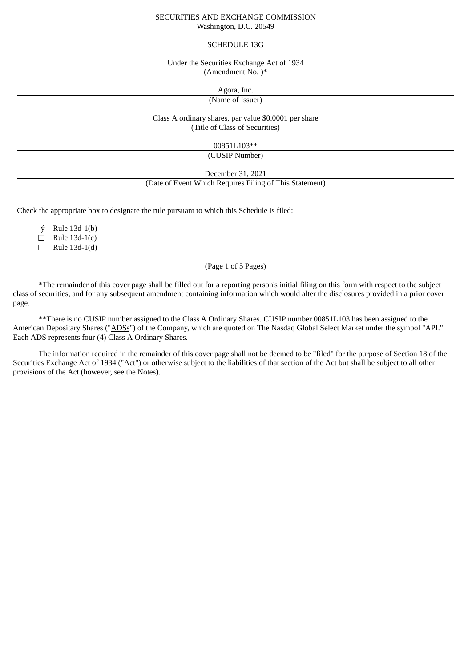#### SECURITIES AND EXCHANGE COMMISSION Washington, D.C. 20549

### SCHEDULE 13G

#### Under the Securities Exchange Act of 1934 (Amendment No. )\*

Agora, Inc.

(Name of Issuer)

Class A ordinary shares, par value \$0.0001 per share

(Title of Class of Securities)

00851L103\*\*

(CUSIP Number)

December 31, 2021

## (Date of Event Which Requires Filing of This Statement)

Check the appropriate box to designate the rule pursuant to which this Schedule is filed:

ý Rule 13d-1(b)

 $\Box$  Rule 13d-1(c)

 $\Box$  Rule 13d-1(d)

 $\overline{\phantom{a}}$  ,  $\overline{\phantom{a}}$  ,  $\overline{\phantom{a}}$  ,  $\overline{\phantom{a}}$  ,  $\overline{\phantom{a}}$  ,  $\overline{\phantom{a}}$  ,  $\overline{\phantom{a}}$  ,  $\overline{\phantom{a}}$  ,  $\overline{\phantom{a}}$  ,  $\overline{\phantom{a}}$  ,  $\overline{\phantom{a}}$  ,  $\overline{\phantom{a}}$  ,  $\overline{\phantom{a}}$  ,  $\overline{\phantom{a}}$  ,  $\overline{\phantom{a}}$  ,  $\overline{\phantom{a}}$ 

# (Page 1 of 5 Pages)

\*The remainder of this cover page shall be filled out for a reporting person's initial filing on this form with respect to the subject class of securities, and for any subsequent amendment containing information which would alter the disclosures provided in a prior cover page.

\*\*There is no CUSIP number assigned to the Class A Ordinary Shares. CUSIP number 00851L103 has been assigned to the American Depositary Shares ("ADSs") of the Company, which are quoted on The Nasdaq Global Select Market under the symbol "API." Each ADS represents four (4) Class A Ordinary Shares.

The information required in the remainder of this cover page shall not be deemed to be "filed" for the purpose of Section 18 of the Securities Exchange Act of 1934 ("Act") or otherwise subject to the liabilities of that section of the Act but shall be subject to all other provisions of the Act (however, see the Notes).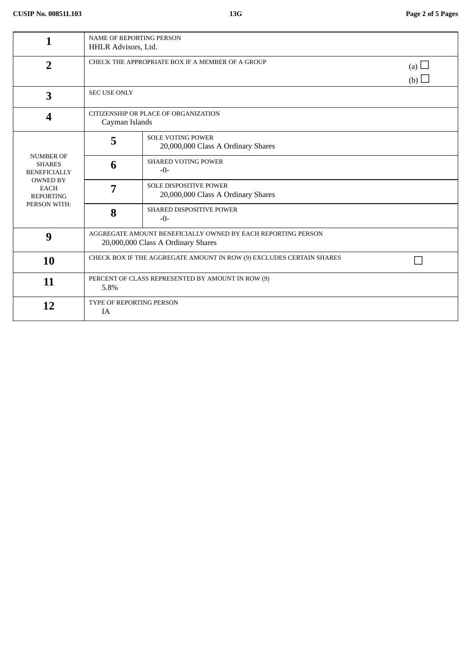|                                                                                                                                | <b>NAME OF REPORTING PERSON</b><br>HHLR Advisors, Ltd.                                             |                                                                     |  |  |  |
|--------------------------------------------------------------------------------------------------------------------------------|----------------------------------------------------------------------------------------------------|---------------------------------------------------------------------|--|--|--|
| $\overline{2}$                                                                                                                 | CHECK THE APPROPRIATE BOX IF A MEMBER OF A GROUP<br>(a) $\Box$<br>(b)                              |                                                                     |  |  |  |
| 3                                                                                                                              | <b>SEC USE ONLY</b>                                                                                |                                                                     |  |  |  |
| 4                                                                                                                              | CITIZENSHIP OR PLACE OF ORGANIZATION<br>Cayman Islands                                             |                                                                     |  |  |  |
| <b>NUMBER OF</b><br><b>SHARES</b><br><b>BENEFICIALLY</b><br><b>OWNED BY</b><br><b>EACH</b><br><b>REPORTING</b><br>PERSON WITH: | 5                                                                                                  | <b>SOLE VOTING POWER</b><br>20,000,000 Class A Ordinary Shares      |  |  |  |
|                                                                                                                                | 6                                                                                                  | <b>SHARED VOTING POWER</b><br>$-0-$                                 |  |  |  |
|                                                                                                                                | 7                                                                                                  | <b>SOLE DISPOSITIVE POWER</b><br>20,000,000 Class A Ordinary Shares |  |  |  |
|                                                                                                                                | 8                                                                                                  | <b>SHARED DISPOSITIVE POWER</b><br>$-0-$                            |  |  |  |
| 9                                                                                                                              | AGGREGATE AMOUNT BENEFICIALLY OWNED BY EACH REPORTING PERSON<br>20,000,000 Class A Ordinary Shares |                                                                     |  |  |  |
| 10                                                                                                                             | CHECK BOX IF THE AGGREGATE AMOUNT IN ROW (9) EXCLUDES CERTAIN SHARES                               |                                                                     |  |  |  |
| 11                                                                                                                             | PERCENT OF CLASS REPRESENTED BY AMOUNT IN ROW (9)<br>5.8%                                          |                                                                     |  |  |  |
| 12                                                                                                                             | TYPE OF REPORTING PERSON<br>IA                                                                     |                                                                     |  |  |  |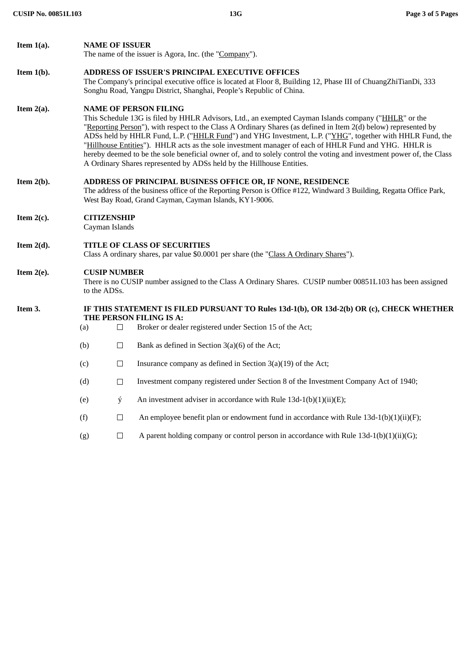| Item $1(a)$ . |                                                                                                                     | <b>NAME OF ISSUER</b>                                                                                                                                                                                                                                                                                                                                                                                                                                                                                                                                                                                                                                                          |                                                                                          |  |  |  |
|---------------|---------------------------------------------------------------------------------------------------------------------|--------------------------------------------------------------------------------------------------------------------------------------------------------------------------------------------------------------------------------------------------------------------------------------------------------------------------------------------------------------------------------------------------------------------------------------------------------------------------------------------------------------------------------------------------------------------------------------------------------------------------------------------------------------------------------|------------------------------------------------------------------------------------------|--|--|--|
|               |                                                                                                                     |                                                                                                                                                                                                                                                                                                                                                                                                                                                                                                                                                                                                                                                                                | The name of the issuer is Agora, Inc. (the "Company").                                   |  |  |  |
| Item $1(b)$ . |                                                                                                                     | ADDRESS OF ISSUER'S PRINCIPAL EXECUTIVE OFFICES<br>The Company's principal executive office is located at Floor 8, Building 12, Phase III of ChuangZhiTianDi, 333<br>Songhu Road, Yangpu District, Shanghai, People's Republic of China.                                                                                                                                                                                                                                                                                                                                                                                                                                       |                                                                                          |  |  |  |
| Item $2(a)$ . |                                                                                                                     | <b>NAME OF PERSON FILING</b><br>This Schedule 13G is filed by HHLR Advisors, Ltd., an exempted Cayman Islands company ("HHLR" or the<br>"Reporting Person"), with respect to the Class A Ordinary Shares (as defined in Item 2(d) below) represented by<br>ADSs held by HHLR Fund, L.P. ("HHLR Fund") and YHG Investment, L.P. ("YHG", together with HHLR Fund, the<br>"Hillhouse Entities"). HHLR acts as the sole investment manager of each of HHLR Fund and YHG. HHLR is<br>hereby deemed to be the sole beneficial owner of, and to solely control the voting and investment power of, the Class<br>A Ordinary Shares represented by ADSs held by the Hillhouse Entities. |                                                                                          |  |  |  |
| Item $2(b)$ . |                                                                                                                     | ADDRESS OF PRINCIPAL BUSINESS OFFICE OR, IF NONE, RESIDENCE<br>The address of the business office of the Reporting Person is Office #122, Windward 3 Building, Regatta Office Park,<br>West Bay Road, Grand Cayman, Cayman Islands, KY1-9006.                                                                                                                                                                                                                                                                                                                                                                                                                                  |                                                                                          |  |  |  |
| Item $2(c)$ . |                                                                                                                     | <b>CITIZENSHIP</b><br>Cayman Islands                                                                                                                                                                                                                                                                                                                                                                                                                                                                                                                                                                                                                                           |                                                                                          |  |  |  |
| Item $2(d)$ . |                                                                                                                     | TITLE OF CLASS OF SECURITIES<br>Class A ordinary shares, par value \$0.0001 per share (the "Class A Ordinary Shares").                                                                                                                                                                                                                                                                                                                                                                                                                                                                                                                                                         |                                                                                          |  |  |  |
| Item $2(e)$ . |                                                                                                                     | <b>CUSIP NUMBER</b><br>There is no CUSIP number assigned to the Class A Ordinary Shares. CUSIP number 00851L103 has been assigned<br>to the ADSs.                                                                                                                                                                                                                                                                                                                                                                                                                                                                                                                              |                                                                                          |  |  |  |
| Item 3.       | IF THIS STATEMENT IS FILED PURSUANT TO Rules 13d-1(b), OR 13d-2(b) OR (c), CHECK WHETHER<br>THE PERSON FILING IS A: |                                                                                                                                                                                                                                                                                                                                                                                                                                                                                                                                                                                                                                                                                |                                                                                          |  |  |  |
|               | (a)                                                                                                                 | $\Box$                                                                                                                                                                                                                                                                                                                                                                                                                                                                                                                                                                                                                                                                         | Broker or dealer registered under Section 15 of the Act;                                 |  |  |  |
|               | (b)                                                                                                                 | $\Box$                                                                                                                                                                                                                                                                                                                                                                                                                                                                                                                                                                                                                                                                         | Bank as defined in Section $3(a)(6)$ of the Act;                                         |  |  |  |
|               | (c)                                                                                                                 | $\Box$                                                                                                                                                                                                                                                                                                                                                                                                                                                                                                                                                                                                                                                                         | Insurance company as defined in Section 3(a)(19) of the Act;                             |  |  |  |
|               | (d)                                                                                                                 | $\Box$                                                                                                                                                                                                                                                                                                                                                                                                                                                                                                                                                                                                                                                                         | Investment company registered under Section 8 of the Investment Company Act of 1940;     |  |  |  |
|               | (e)                                                                                                                 | ý                                                                                                                                                                                                                                                                                                                                                                                                                                                                                                                                                                                                                                                                              | An investment adviser in accordance with Rule $13d-1(b)(1)(ii)(E)$ ;                     |  |  |  |
|               | (f)                                                                                                                 | $\Box$                                                                                                                                                                                                                                                                                                                                                                                                                                                                                                                                                                                                                                                                         | An employee benefit plan or endowment fund in accordance with Rule $13d-1(b)(1)(ii)(F);$ |  |  |  |
|               | (g)                                                                                                                 | $\Box$                                                                                                                                                                                                                                                                                                                                                                                                                                                                                                                                                                                                                                                                         | A parent holding company or control person in accordance with Rule $13d-1(b)(1)(ii)(G);$ |  |  |  |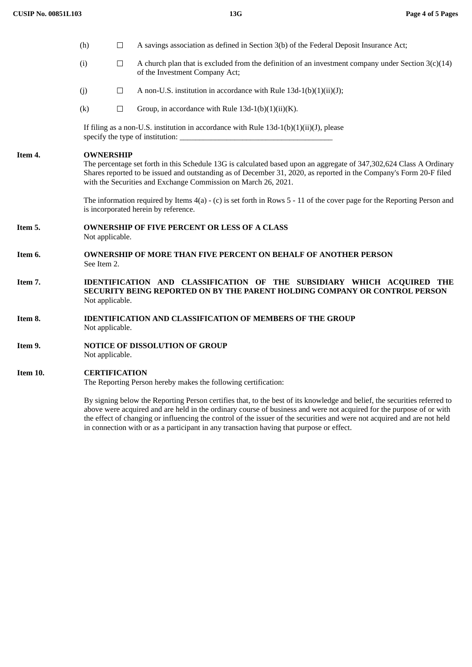|          | (h)                                                                                                                                                                                                                                                                                                                             | $\Box$                                                                                    | A savings association as defined in Section 3(b) of the Federal Deposit Insurance Act;                                                                                                                                                            |  |  |  |
|----------|---------------------------------------------------------------------------------------------------------------------------------------------------------------------------------------------------------------------------------------------------------------------------------------------------------------------------------|-------------------------------------------------------------------------------------------|---------------------------------------------------------------------------------------------------------------------------------------------------------------------------------------------------------------------------------------------------|--|--|--|
|          | (i)                                                                                                                                                                                                                                                                                                                             | $\Box$                                                                                    | A church plan that is excluded from the definition of an investment company under Section $3(c)(14)$<br>of the Investment Company Act;                                                                                                            |  |  |  |
|          | (j)                                                                                                                                                                                                                                                                                                                             | $\Box$                                                                                    | A non-U.S. institution in accordance with Rule $13d-1(b)(1)(ii)(J)$ ;                                                                                                                                                                             |  |  |  |
|          | (k)                                                                                                                                                                                                                                                                                                                             | $\Box$                                                                                    | Group, in accordance with Rule $13d-1(b)(1)(ii)(K)$ .                                                                                                                                                                                             |  |  |  |
|          |                                                                                                                                                                                                                                                                                                                                 | If filing as a non-U.S. institution in accordance with Rule $13d-1(b)(1)(ii)(J)$ , please |                                                                                                                                                                                                                                                   |  |  |  |
| Item 4.  | <b>OWNERSHIP</b><br>The percentage set forth in this Schedule 13G is calculated based upon an aggregate of 347,302,624 Class A Ordinary<br>Shares reported to be issued and outstanding as of December 31, 2020, as reported in the Company's Form 20-F filed<br>with the Securities and Exchange Commission on March 26, 2021. |                                                                                           |                                                                                                                                                                                                                                                   |  |  |  |
|          | The information required by Items $4(a) - (c)$ is set forth in Rows 5 - 11 of the cover page for the Reporting Person and<br>is incorporated herein by reference.                                                                                                                                                               |                                                                                           |                                                                                                                                                                                                                                                   |  |  |  |
| Item 5.  |                                                                                                                                                                                                                                                                                                                                 | <b>OWNERSHIP OF FIVE PERCENT OR LESS OF A CLASS</b><br>Not applicable.                    |                                                                                                                                                                                                                                                   |  |  |  |
| Item 6.  |                                                                                                                                                                                                                                                                                                                                 | <b>OWNERSHIP OF MORE THAN FIVE PERCENT ON BEHALF OF ANOTHER PERSON</b><br>See Item 2.     |                                                                                                                                                                                                                                                   |  |  |  |
| Item 7.  | IDENTIFICATION AND CLASSIFICATION OF THE SUBSIDIARY WHICH ACQUIRED THE<br>SECURITY BEING REPORTED ON BY THE PARENT HOLDING COMPANY OR CONTROL PERSON<br>Not applicable.                                                                                                                                                         |                                                                                           |                                                                                                                                                                                                                                                   |  |  |  |
| Item 8.  | <b>IDENTIFICATION AND CLASSIFICATION OF MEMBERS OF THE GROUP</b><br>Not applicable.                                                                                                                                                                                                                                             |                                                                                           |                                                                                                                                                                                                                                                   |  |  |  |
| Item 9.  | <b>NOTICE OF DISSOLUTION OF GROUP</b><br>Not applicable.                                                                                                                                                                                                                                                                        |                                                                                           |                                                                                                                                                                                                                                                   |  |  |  |
| Item 10. |                                                                                                                                                                                                                                                                                                                                 | <b>CERTIFICATION</b>                                                                      | The Reporting Person hereby makes the following certification:                                                                                                                                                                                    |  |  |  |
|          |                                                                                                                                                                                                                                                                                                                                 |                                                                                           | By signing below the Reporting Person certifies that, to the best of its knowledge and belief, the securities referred to<br>above were acquired and are held in the ordinary course of business and were not acquired for the purpose of or with |  |  |  |

above were acquired and are held in the ordinary course of business and were not acquired for the purpose of or with the effect of changing or influencing the control of the issuer of the securities and were not acquired and are not held in connection with or as a participant in any transaction having that purpose or effect.